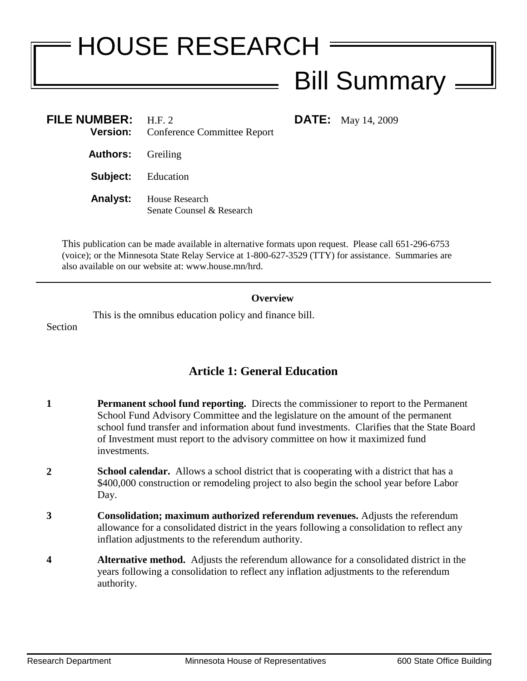# HOUSE RESEARCH Bill Summary

**DATE:** May 14, 2009

| <b>FILE NUMBER:</b>       | H.F. 2<br><b>Version:</b> Conference Committee Report |
|---------------------------|-------------------------------------------------------|
| <b>Authors:</b> Greiling  |                                                       |
| <b>Subject:</b> Education |                                                       |
| <b>Analyst:</b>           | House Research<br>Senate Counsel & Research           |

This publication can be made available in alternative formats upon request. Please call 651-296-6753 (voice); or the Minnesota State Relay Service at 1-800-627-3529 (TTY) for assistance. Summaries are also available on our website at: www.house.mn/hrd.

#### **Overview**

This is the omnibus education policy and finance bill. Section

# **Article 1: General Education**

- **1 Permanent school fund reporting.** Directs the commissioner to report to the Permanent School Fund Advisory Committee and the legislature on the amount of the permanent school fund transfer and information about fund investments. Clarifies that the State Board of Investment must report to the advisory committee on how it maximized fund investments.
- **2 School calendar.** Allows a school district that is cooperating with a district that has a \$400,000 construction or remodeling project to also begin the school year before Labor Day.
- **3 Consolidation; maximum authorized referendum revenues.** Adjusts the referendum allowance for a consolidated district in the years following a consolidation to reflect any inflation adjustments to the referendum authority.
- **4 Alternative method.** Adjusts the referendum allowance for a consolidated district in the years following a consolidation to reflect any inflation adjustments to the referendum authority.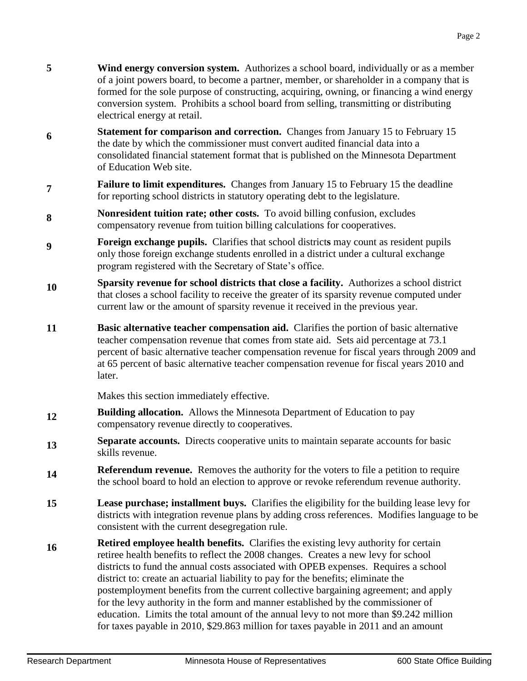- 
- 
- **5 Wind energy conversion system.** Authorizes a school board, individually or as a member of a joint powers board, to become a partner, member, or shareholder in a company that is formed for the sole purpose of constructing, acquiring, owning, or financing a wind energy
- **6 Statement for comparison and correction.** Changes from January 15 to February 15 the date by which the commissioner must convert audited financial data into a consolidated financial statement format that is published on the Minnesota Department of Education Web site.

conversion system. Prohibits a school board from selling, transmitting or distributing

- **7 Failure to limit expenditures.** Changes from January 15 to February 15 the deadline for reporting school districts in statutory operating debt to the legislature.
- **8 Nonresident tuition rate; other costs.** To avoid billing confusion, excludes compensatory revenue from tuition billing calculations for cooperatives.
- **9 Foreign exchange pupils.** Clarifies that school district**s** may count as resident pupils only those foreign exchange students enrolled in a district under a cultural exchange program registered with the Secretary of State's office.
- **10 Sparsity revenue for school districts that close a facility.** Authorizes a school district that closes a school facility to receive the greater of its sparsity revenue computed under current law or the amount of sparsity revenue it received in the previous year.
- **11 Basic alternative teacher compensation aid.** Clarifies the portion of basic alternative teacher compensation revenue that comes from state aid. Sets aid percentage at 73.1 percent of basic alternative teacher compensation revenue for fiscal years through 2009 and at 65 percent of basic alternative teacher compensation revenue for fiscal years 2010 and later.

Makes this section immediately effective.

electrical energy at retail.

- **12 Building allocation.** Allows the Minnesota Department of Education to pay compensatory revenue directly to cooperatives.
- **13 Separate accounts.** Directs cooperative units to maintain separate accounts for basic skills revenue.
- **14 Referendum revenue.** Removes the authority for the voters to file a petition to require the school board to hold an election to approve or revoke referendum revenue authority.
- **15 Lease purchase; installment buys.** Clarifies the eligibility for the building lease levy for districts with integration revenue plans by adding cross references. Modifies language to be consistent with the current desegregation rule.
- **16 Retired employee health benefits.** Clarifies the existing levy authority for certain retiree health benefits to reflect the 2008 changes. Creates a new levy for school districts to fund the annual costs associated with OPEB expenses. Requires a school district to: create an actuarial liability to pay for the benefits; eliminate the postemployment benefits from the current collective bargaining agreement; and apply for the levy authority in the form and manner established by the commissioner of education. Limits the total amount of the annual levy to not more than \$9.242 million for taxes payable in 2010, \$29.863 million for taxes payable in 2011 and an amount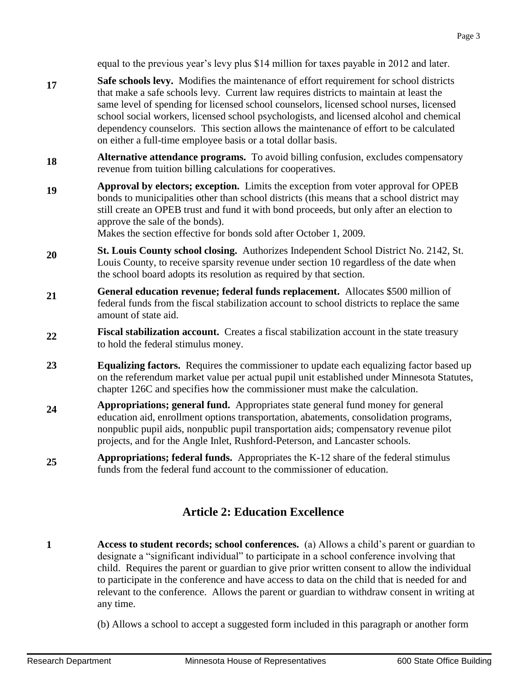equal to the previous year's levy plus \$14 million for taxes payable in 2012 and later.

- **17 Safe schools levy.** Modifies the maintenance of effort requirement for school districts that make a safe schools levy. Current law requires districts to maintain at least the same level of spending for licensed school counselors, licensed school nurses, licensed school social workers, licensed school psychologists, and licensed alcohol and chemical dependency counselors. This section allows the maintenance of effort to be calculated on either a full-time employee basis or a total dollar basis.
- **18 Alternative attendance programs.** To avoid billing confusion, excludes compensatory revenue from tuition billing calculations for cooperatives.
- **19 Approval by electors; exception.** Limits the exception from voter approval for OPEB bonds to municipalities other than school districts (this means that a school district may still create an OPEB trust and fund it with bond proceeds, but only after an election to approve the sale of the bonds).

Makes the section effective for bonds sold after October 1, 2009.

- **20 St. Louis County school closing.** Authorizes Independent School District No. 2142, St. Louis County, to receive sparsity revenue under section 10 regardless of the date when the school board adopts its resolution as required by that section.
- **21 General education revenue; federal funds replacement.** Allocates \$500 million of federal funds from the fiscal stabilization account to school districts to replace the same amount of state aid.
- **22 Fiscal stabilization account.** Creates a fiscal stabilization account in the state treasury to hold the federal stimulus money.
- **23 Equalizing factors.** Requires the commissioner to update each equalizing factor based up on the referendum market value per actual pupil unit established under Minnesota Statutes, chapter 126C and specifies how the commissioner must make the calculation.
- **24 Appropriations; general fund.** Appropriates state general fund money for general education aid, enrollment options transportation, abatements, consolidation programs, nonpublic pupil aids, nonpublic pupil transportation aids; compensatory revenue pilot projects, and for the Angle Inlet, Rushford-Peterson, and Lancaster schools.
- **25 Appropriations; federal funds.** Appropriates the K-12 share of the federal stimulus funds from the federal fund account to the commissioner of education.

# **Article 2: Education Excellence**

- **1 Access to student records; school conferences.** (a) Allows a child's parent or guardian to designate a "significant individual" to participate in a school conference involving that child. Requires the parent or guardian to give prior written consent to allow the individual to participate in the conference and have access to data on the child that is needed for and relevant to the conference. Allows the parent or guardian to withdraw consent in writing at any time.
	- (b) Allows a school to accept a suggested form included in this paragraph or another form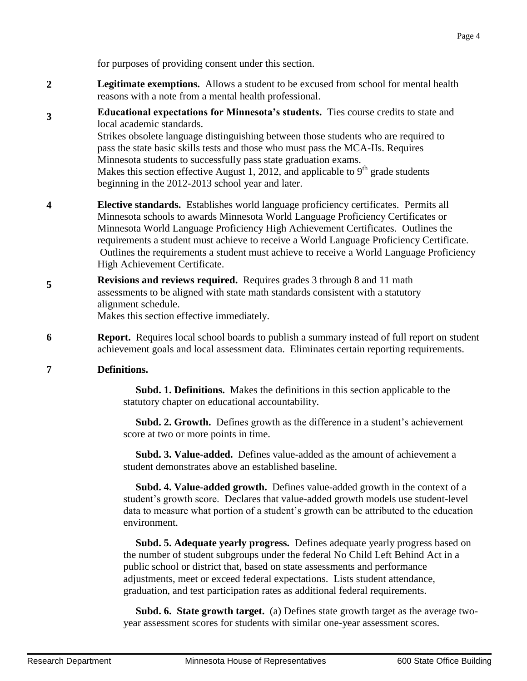for purposes of providing consent under this section.

- **2 Legitimate exemptions.** Allows a student to be excused from school for mental health reasons with a note from a mental health professional.
- **3 Educational expectations for Minnesota's students.** Ties course credits to state and local academic standards. Strikes obsolete language distinguishing between those students who are required to pass the state basic skills tests and those who must pass the MCA-IIs. Requires Minnesota students to successfully pass state graduation exams. Makes this section effective August 1, 2012, and applicable to  $9<sup>th</sup>$  grade students beginning in the 2012-2013 school year and later.
- **4 Elective standards.** Establishes world language proficiency certificates. Permits all Minnesota schools to awards Minnesota World Language Proficiency Certificates or Minnesota World Language Proficiency High Achievement Certificates. Outlines the requirements a student must achieve to receive a World Language Proficiency Certificate. Outlines the requirements a student must achieve to receive a World Language Proficiency High Achievement Certificate.
- **5 Revisions and reviews required.** Requires grades 3 through 8 and 11 math assessments to be aligned with state math standards consistent with a statutory alignment schedule.

Makes this section effective immediately.

**6 Report.** Requires local school boards to publish a summary instead of full report on student achievement goals and local assessment data. Eliminates certain reporting requirements.

#### **7 Definitions.**

 **Subd. 1. Definitions.** Makes the definitions in this section applicable to the statutory chapter on educational accountability.

 **Subd. 2. Growth.** Defines growth as the difference in a student's achievement score at two or more points in time.

 **Subd. 3. Value-added.** Defines value-added as the amount of achievement a student demonstrates above an established baseline.

 **Subd. 4. Value-added growth.** Defines value-added growth in the context of a student's growth score. Declares that value-added growth models use student-level data to measure what portion of a student's growth can be attributed to the education environment.

 **Subd. 5. Adequate yearly progress.** Defines adequate yearly progress based on the number of student subgroups under the federal No Child Left Behind Act in a public school or district that, based on state assessments and performance adjustments, meet or exceed federal expectations. Lists student attendance, graduation, and test participation rates as additional federal requirements.

 **Subd. 6. State growth target.** (a) Defines state growth target as the average twoyear assessment scores for students with similar one-year assessment scores.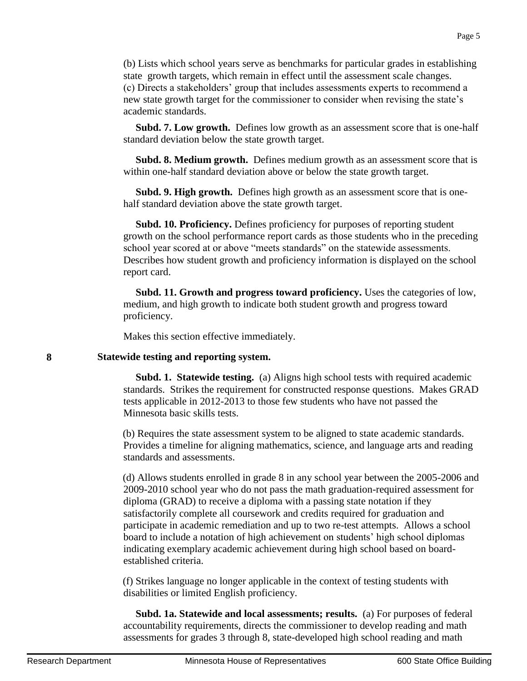(b) Lists which school years serve as benchmarks for particular grades in establishing state growth targets, which remain in effect until the assessment scale changes. (c) Directs a stakeholders' group that includes assessments experts to recommend a new state growth target for the commissioner to consider when revising the state's academic standards.

 **Subd. 7. Low growth.** Defines low growth as an assessment score that is one-half standard deviation below the state growth target.

 **Subd. 8. Medium growth.** Defines medium growth as an assessment score that is within one-half standard deviation above or below the state growth target.

 **Subd. 9. High growth.** Defines high growth as an assessment score that is onehalf standard deviation above the state growth target.

 **Subd. 10. Proficiency.** Defines proficiency for purposes of reporting student growth on the school performance report cards as those students who in the preceding school year scored at or above "meets standards" on the statewide assessments. Describes how student growth and proficiency information is displayed on the school report card.

 **Subd. 11. Growth and progress toward proficiency.** Uses the categories of low, medium, and high growth to indicate both student growth and progress toward proficiency.

Makes this section effective immediately.

#### **8 Statewide testing and reporting system.**

 **Subd. 1. Statewide testing.** (a) Aligns high school tests with required academic standards. Strikes the requirement for constructed response questions. Makes GRAD tests applicable in 2012-2013 to those few students who have not passed the Minnesota basic skills tests.

(b) Requires the state assessment system to be aligned to state academic standards. Provides a timeline for aligning mathematics, science, and language arts and reading standards and assessments.

(d) Allows students enrolled in grade 8 in any school year between the 2005-2006 and 2009-2010 school year who do not pass the math graduation-required assessment for diploma (GRAD) to receive a diploma with a passing state notation if they satisfactorily complete all coursework and credits required for graduation and participate in academic remediation and up to two re-test attempts. Allows a school board to include a notation of high achievement on students' high school diplomas indicating exemplary academic achievement during high school based on boardestablished criteria.

(f) Strikes language no longer applicable in the context of testing students with disabilities or limited English proficiency.

 **Subd. 1a. Statewide and local assessments; results.** (a) For purposes of federal accountability requirements, directs the commissioner to develop reading and math assessments for grades 3 through 8, state-developed high school reading and math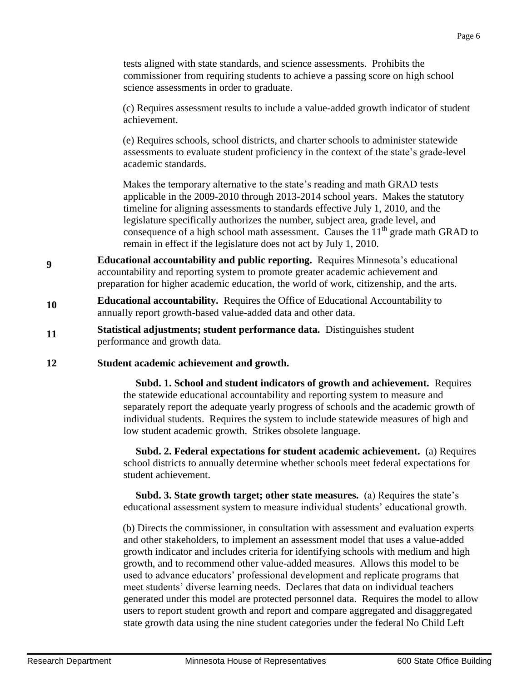tests aligned with state standards, and science assessments. Prohibits the commissioner from requiring students to achieve a passing score on high school science assessments in order to graduate.

(c) Requires assessment results to include a value-added growth indicator of student achievement.

(e) Requires schools, school districts, and charter schools to administer statewide assessments to evaluate student proficiency in the context of the state's grade-level academic standards.

Makes the temporary alternative to the state's reading and math GRAD tests applicable in the 2009-2010 through 2013-2014 school years. Makes the statutory timeline for aligning assessments to standards effective July 1, 2010, and the legislature specifically authorizes the number, subject area, grade level, and consequence of a high school math assessment. Causes the  $11<sup>th</sup>$  grade math GRAD to remain in effect if the legislature does not act by July 1, 2010.

- **9 Educational accountability and public reporting.** Requires Minnesota's educational accountability and reporting system to promote greater academic achievement and preparation for higher academic education, the world of work, citizenship, and the arts.
- **10 Educational accountability.** Requires the Office of Educational Accountability to annually report growth-based value-added data and other data.
- **11 Statistical adjustments; student performance data.** Distinguishes student performance and growth data.

#### **12 Student academic achievement and growth.**

 **Subd. 1. School and student indicators of growth and achievement.** Requires the statewide educational accountability and reporting system to measure and separately report the adequate yearly progress of schools and the academic growth of individual students. Requires the system to include statewide measures of high and low student academic growth. Strikes obsolete language.

 **Subd. 2. Federal expectations for student academic achievement.** (a) Requires school districts to annually determine whether schools meet federal expectations for student achievement.

 **Subd. 3. State growth target; other state measures.** (a) Requires the state's educational assessment system to measure individual students' educational growth.

(b) Directs the commissioner, in consultation with assessment and evaluation experts and other stakeholders, to implement an assessment model that uses a value-added growth indicator and includes criteria for identifying schools with medium and high growth, and to recommend other value-added measures. Allows this model to be used to advance educators' professional development and replicate programs that meet students' diverse learning needs. Declares that data on individual teachers generated under this model are protected personnel data. Requires the model to allow users to report student growth and report and compare aggregated and disaggregated state growth data using the nine student categories under the federal No Child Left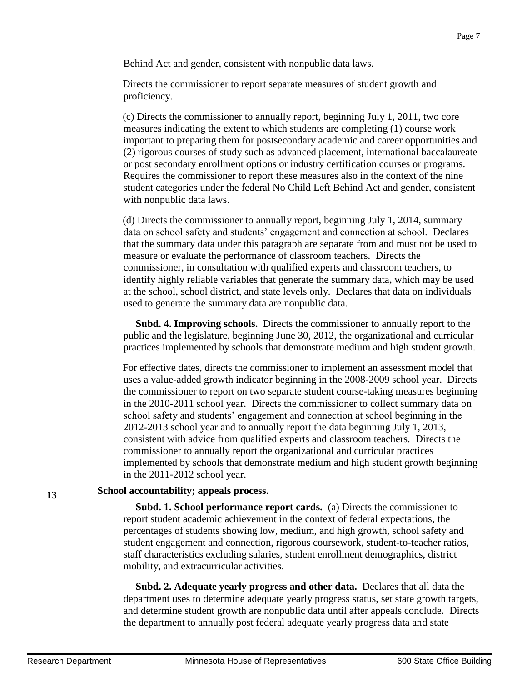Page 7

Behind Act and gender, consistent with nonpublic data laws.

Directs the commissioner to report separate measures of student growth and proficiency.

(c) Directs the commissioner to annually report, beginning July 1, 2011, two core measures indicating the extent to which students are completing (1) course work important to preparing them for postsecondary academic and career opportunities and (2) rigorous courses of study such as advanced placement, international baccalaureate or post secondary enrollment options or industry certification courses or programs. Requires the commissioner to report these measures also in the context of the nine student categories under the federal No Child Left Behind Act and gender, consistent with nonpublic data laws.

(d) Directs the commissioner to annually report, beginning July 1, 2014, summary data on school safety and students' engagement and connection at school. Declares that the summary data under this paragraph are separate from and must not be used to measure or evaluate the performance of classroom teachers. Directs the commissioner, in consultation with qualified experts and classroom teachers, to identify highly reliable variables that generate the summary data, which may be used at the school, school district, and state levels only. Declares that data on individuals used to generate the summary data are nonpublic data.

 **Subd. 4. Improving schools.** Directs the commissioner to annually report to the public and the legislature, beginning June 30, 2012, the organizational and curricular practices implemented by schools that demonstrate medium and high student growth.

For effective dates, directs the commissioner to implement an assessment model that uses a value-added growth indicator beginning in the 2008-2009 school year. Directs the commissioner to report on two separate student course-taking measures beginning in the 2010-2011 school year. Directs the commissioner to collect summary data on school safety and students' engagement and connection at school beginning in the 2012-2013 school year and to annually report the data beginning July 1, 2013, consistent with advice from qualified experts and classroom teachers. Directs the commissioner to annually report the organizational and curricular practices implemented by schools that demonstrate medium and high student growth beginning in the 2011-2012 school year.

#### **School accountability; appeals process.**

 **Subd. 1. School performance report cards.** (a) Directs the commissioner to report student academic achievement in the context of federal expectations, the percentages of students showing low, medium, and high growth, school safety and student engagement and connection, rigorous coursework, student-to-teacher ratios, staff characteristics excluding salaries, student enrollment demographics, district mobility, and extracurricular activities.

 **Subd. 2. Adequate yearly progress and other data.** Declares that all data the department uses to determine adequate yearly progress status, set state growth targets, and determine student growth are nonpublic data until after appeals conclude. Directs the department to annually post federal adequate yearly progress data and state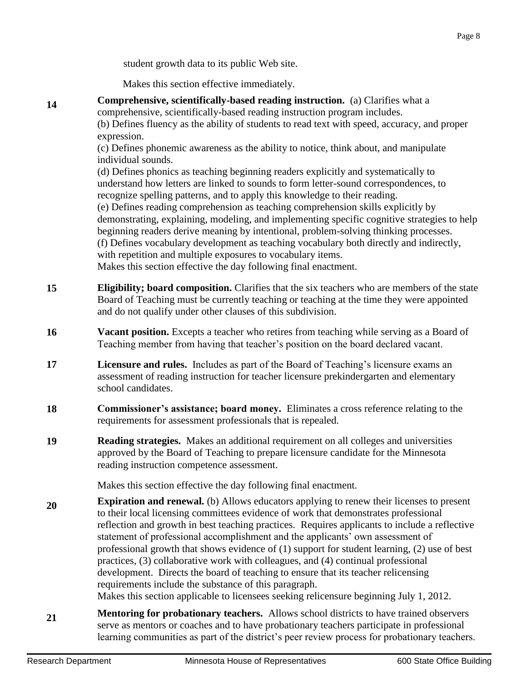student growth data to its public Web site.

Makes this section effective immediately.

**Comprehensive, scientifically-based reading instruction.** (a) Clarifies what a comprehensive, scientifically-based reading instruction program includes. (b) Defines fluency as the ability of students to read text with speed, accuracy, and proper expression. (c) Defines phonemic awareness as the ability to notice, think about, and manipulate individual sounds. (d) Defines phonics as teaching beginning readers explicitly and systematically to understand how letters are linked to sounds to form letter-sound correspondences, to recognize spelling patterns, and to apply this knowledge to their reading. (e) Defines reading comprehension as teaching comprehension skills explicitly by demonstrating, explaining, modeling, and implementing specific cognitive strategies to help beginning readers derive meaning by intentional, problem-solving thinking processes. (f) Defines vocabulary development as teaching vocabulary both directly and indirectly, with repetition and multiple exposures to vocabulary items. Makes this section effective the day following final enactment. **15 Eligibility; board composition.** Clarifies that the six teachers who are members of the state Board of Teaching must be currently teaching or teaching at the time they were appointed and do not qualify under other clauses of this subdivision. **16 Vacant position.** Excepts a teacher who retires from teaching while serving as a Board of Teaching member from having that teacher's position on the board declared vacant. **17 Licensure and rules.** Includes as part of the Board of Teaching's licensure exams an assessment of reading instruction for teacher licensure prekindergarten and elementary school candidates. **18 Commissioner's assistance; board money.** Eliminates a cross reference relating to the requirements for assessment professionals that is repealed.

**19 Reading strategies.** Makes an additional requirement on all colleges and universities approved by the Board of Teaching to prepare licensure candidate for the Minnesota reading instruction competence assessment.

Makes this section effective the day following final enactment.

**20 Expiration and renewal.** (b) Allows educators applying to renew their licenses to present to their local licensing committees evidence of work that demonstrates professional reflection and growth in best teaching practices. Requires applicants to include a reflective statement of professional accomplishment and the applicants' own assessment of professional growth that shows evidence of (1) support for student learning, (2) use of best practices, (3) collaborative work with colleagues, and (4) continual professional development. Directs the board of teaching to ensure that its teacher relicensing requirements include the substance of this paragraph.

Makes this section applicable to licensees seeking relicensure beginning July 1, 2012.

**21 Mentoring for probationary teachers.** Allows school districts to have trained observers serve as mentors or coaches and to have probationary teachers participate in professional learning communities as part of the district's peer review process for probationary teachers.

**14**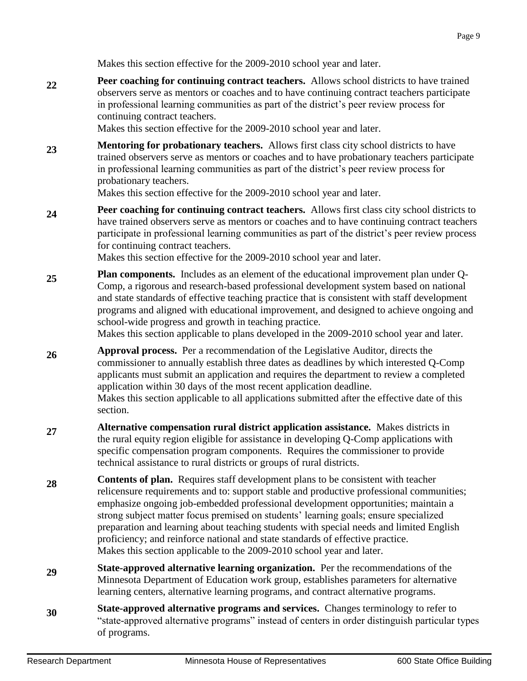Makes this section effective for the 2009-2010 school year and later.

**22 Peer coaching for continuing contract teachers.** Allows school districts to have trained observers serve as mentors or coaches and to have continuing contract teachers participate in professional learning communities as part of the district's peer review process for continuing contract teachers.

Makes this section effective for the 2009-2010 school year and later.

**23 Mentoring for probationary teachers.** Allows first class city school districts to have trained observers serve as mentors or coaches and to have probationary teachers participate in professional learning communities as part of the district's peer review process for probationary teachers.

Makes this section effective for the 2009-2010 school year and later.

**24 Peer coaching for continuing contract teachers.** Allows first class city school districts to have trained observers serve as mentors or coaches and to have continuing contract teachers participate in professional learning communities as part of the district's peer review process for continuing contract teachers.

Makes this section effective for the 2009-2010 school year and later.

**25 Plan components.** Includes as an element of the educational improvement plan under Q-Comp, a rigorous and research-based professional development system based on national and state standards of effective teaching practice that is consistent with staff development programs and aligned with educational improvement, and designed to achieve ongoing and school-wide progress and growth in teaching practice.

Makes this section applicable to plans developed in the 2009-2010 school year and later.

- **26 Approval process.** Per a recommendation of the Legislative Auditor, directs the commissioner to annually establish three dates as deadlines by which interested Q-Comp applicants must submit an application and requires the department to review a completed application within 30 days of the most recent application deadline. Makes this section applicable to all applications submitted after the effective date of this section.
- **27 Alternative compensation rural district application assistance.** Makes districts in the rural equity region eligible for assistance in developing Q-Comp applications with specific compensation program components. Requires the commissioner to provide technical assistance to rural districts or groups of rural districts.
- **28 Contents of plan.** Requires staff development plans to be consistent with teacher relicensure requirements and to: support stable and productive professional communities; emphasize ongoing job-embedded professional development opportunities; maintain a strong subject matter focus premised on students' learning goals; ensure specialized preparation and learning about teaching students with special needs and limited English proficiency; and reinforce national and state standards of effective practice. Makes this section applicable to the 2009-2010 school year and later.
- **29 State-approved alternative learning organization.** Per the recommendations of the Minnesota Department of Education work group, establishes parameters for alternative learning centers, alternative learning programs, and contract alternative programs.
- **30 State-approved alternative programs and services.** Changes terminology to refer to "state-approved alternative programs" instead of centers in order distinguish particular types of programs.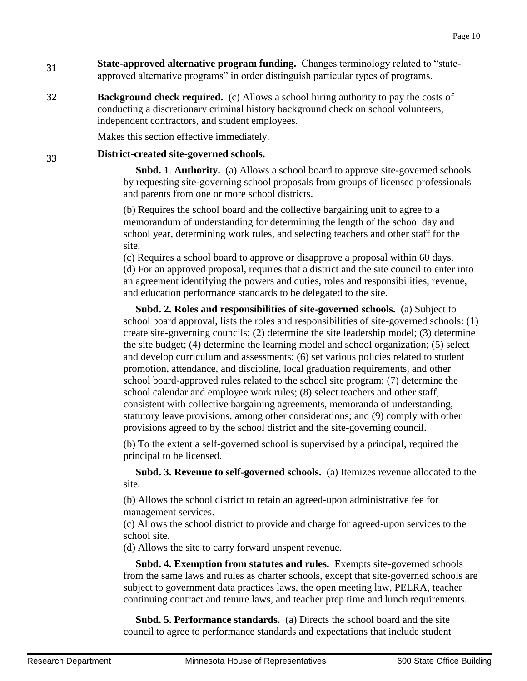- **31 State-approved alternative program funding.** Changes terminology related to "stateapproved alternative programs" in order distinguish particular types of programs.
- **32 Background check required.** (c) Allows a school hiring authority to pay the costs of conducting a discretionary criminal history background check on school volunteers, independent contractors, and student employees.

Makes this section effective immediately.

#### **33 District-created site-governed schools.**

 **Subd. 1**. **Authority.** (a) Allows a school board to approve site-governed schools by requesting site-governing school proposals from groups of licensed professionals and parents from one or more school districts.

(b) Requires the school board and the collective bargaining unit to agree to a memorandum of understanding for determining the length of the school day and school year, determining work rules, and selecting teachers and other staff for the site.

(c) Requires a school board to approve or disapprove a proposal within 60 days. (d) For an approved proposal, requires that a district and the site council to enter into an agreement identifying the powers and duties, roles and responsibilities, revenue, and education performance standards to be delegated to the site.

 **Subd. 2. Roles and responsibilities of site-governed schools.** (a) Subject to school board approval, lists the roles and responsibilities of site-governed schools: (1) create site-governing councils; (2) determine the site leadership model; (3) determine the site budget; (4) determine the learning model and school organization; (5) select and develop curriculum and assessments; (6) set various policies related to student promotion, attendance, and discipline, local graduation requirements, and other school board-approved rules related to the school site program; (7) determine the school calendar and employee work rules; (8) select teachers and other staff, consistent with collective bargaining agreements, memoranda of understanding, statutory leave provisions, among other considerations; and (9) comply with other provisions agreed to by the school district and the site-governing council.

(b) To the extent a self-governed school is supervised by a principal, required the principal to be licensed.

 **Subd. 3. Revenue to self-governed schools.** (a) Itemizes revenue allocated to the site.

(b) Allows the school district to retain an agreed-upon administrative fee for management services.

(c) Allows the school district to provide and charge for agreed-upon services to the school site.

(d) Allows the site to carry forward unspent revenue.

 **Subd. 4. Exemption from statutes and rules.** Exempts site-governed schools from the same laws and rules as charter schools, except that site-governed schools are subject to government data practices laws, the open meeting law, PELRA, teacher continuing contract and tenure laws, and teacher prep time and lunch requirements.

 **Subd. 5. Performance standards.** (a) Directs the school board and the site council to agree to performance standards and expectations that include student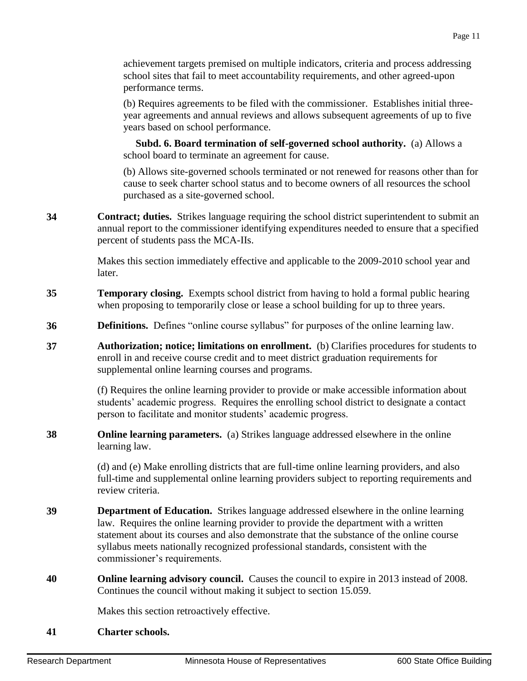achievement targets premised on multiple indicators, criteria and process addressing school sites that fail to meet accountability requirements, and other agreed-upon performance terms.

(b) Requires agreements to be filed with the commissioner. Establishes initial threeyear agreements and annual reviews and allows subsequent agreements of up to five years based on school performance.

 **Subd. 6. Board termination of self-governed school authority.** (a) Allows a school board to terminate an agreement for cause.

(b) Allows site-governed schools terminated or not renewed for reasons other than for cause to seek charter school status and to become owners of all resources the school purchased as a site-governed school.

**34 Contract; duties.** Strikes language requiring the school district superintendent to submit an annual report to the commissioner identifying expenditures needed to ensure that a specified percent of students pass the MCA-IIs.

> Makes this section immediately effective and applicable to the 2009-2010 school year and later.

- **35 Temporary closing.** Exempts school district from having to hold a formal public hearing when proposing to temporarily close or lease a school building for up to three years.
- **36 Definitions.** Defines "online course syllabus" for purposes of the online learning law.
- **37 Authorization; notice; limitations on enrollment.** (b) Clarifies procedures for students to enroll in and receive course credit and to meet district graduation requirements for supplemental online learning courses and programs.

(f) Requires the online learning provider to provide or make accessible information about students' academic progress. Requires the enrolling school district to designate a contact person to facilitate and monitor students' academic progress.

**38 Online learning parameters.** (a) Strikes language addressed elsewhere in the online learning law.

> (d) and (e) Make enrolling districts that are full-time online learning providers, and also full-time and supplemental online learning providers subject to reporting requirements and review criteria.

- **39 Department of Education.** Strikes language addressed elsewhere in the online learning law. Requires the online learning provider to provide the department with a written statement about its courses and also demonstrate that the substance of the online course syllabus meets nationally recognized professional standards, consistent with the commissioner's requirements.
- **40 Online learning advisory council.** Causes the council to expire in 2013 instead of 2008. Continues the council without making it subject to section 15.059.

Makes this section retroactively effective.

**41 Charter schools.**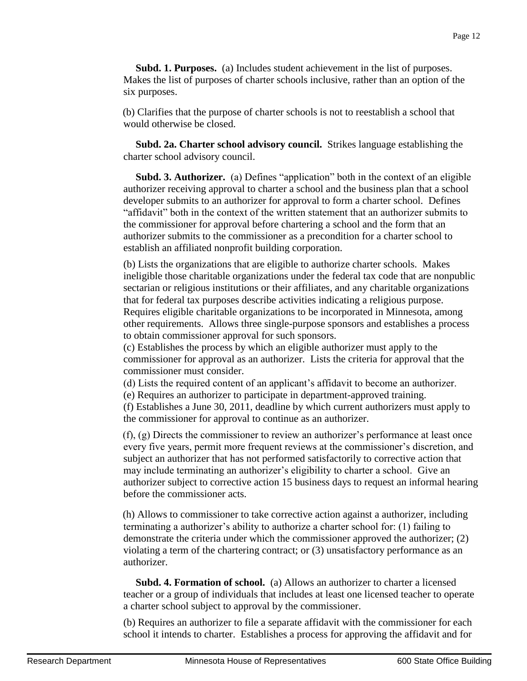**Subd. 1. Purposes.** (a) Includes student achievement in the list of purposes. Makes the list of purposes of charter schools inclusive, rather than an option of the six purposes.

(b) Clarifies that the purpose of charter schools is not to reestablish a school that would otherwise be closed.

 **Subd. 2a. Charter school advisory council.** Strikes language establishing the charter school advisory council.

 **Subd. 3. Authorizer.** (a) Defines "application" both in the context of an eligible authorizer receiving approval to charter a school and the business plan that a school developer submits to an authorizer for approval to form a charter school. Defines "affidavit" both in the context of the written statement that an authorizer submits to the commissioner for approval before chartering a school and the form that an authorizer submits to the commissioner as a precondition for a charter school to establish an affiliated nonprofit building corporation.

(b) Lists the organizations that are eligible to authorize charter schools. Makes ineligible those charitable organizations under the federal tax code that are nonpublic sectarian or religious institutions or their affiliates, and any charitable organizations that for federal tax purposes describe activities indicating a religious purpose. Requires eligible charitable organizations to be incorporated in Minnesota, among other requirements. Allows three single-purpose sponsors and establishes a process to obtain commissioner approval for such sponsors.

(c) Establishes the process by which an eligible authorizer must apply to the commissioner for approval as an authorizer. Lists the criteria for approval that the commissioner must consider.

(d) Lists the required content of an applicant's affidavit to become an authorizer.

(e) Requires an authorizer to participate in department-approved training.

(f) Establishes a June 30, 2011, deadline by which current authorizers must apply to the commissioner for approval to continue as an authorizer.

(f), (g) Directs the commissioner to review an authorizer's performance at least once every five years, permit more frequent reviews at the commissioner's discretion, and subject an authorizer that has not performed satisfactorily to corrective action that may include terminating an authorizer's eligibility to charter a school. Give an authorizer subject to corrective action 15 business days to request an informal hearing before the commissioner acts.

(h) Allows to commissioner to take corrective action against a authorizer, including terminating a authorizer's ability to authorize a charter school for: (1) failing to demonstrate the criteria under which the commissioner approved the authorizer; (2) violating a term of the chartering contract; or (3) unsatisfactory performance as an authorizer.

 **Subd. 4. Formation of school.** (a) Allows an authorizer to charter a licensed teacher or a group of individuals that includes at least one licensed teacher to operate a charter school subject to approval by the commissioner.

(b) Requires an authorizer to file a separate affidavit with the commissioner for each school it intends to charter. Establishes a process for approving the affidavit and for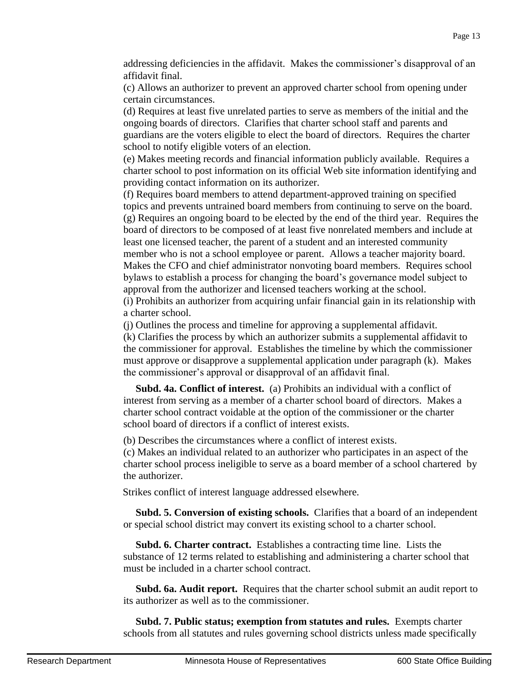addressing deficiencies in the affidavit. Makes the commissioner's disapproval of an affidavit final.

(c) Allows an authorizer to prevent an approved charter school from opening under certain circumstances.

(d) Requires at least five unrelated parties to serve as members of the initial and the ongoing boards of directors. Clarifies that charter school staff and parents and guardians are the voters eligible to elect the board of directors. Requires the charter school to notify eligible voters of an election.

(e) Makes meeting records and financial information publicly available. Requires a charter school to post information on its official Web site information identifying and providing contact information on its authorizer.

(f) Requires board members to attend department-approved training on specified topics and prevents untrained board members from continuing to serve on the board. (g) Requires an ongoing board to be elected by the end of the third year. Requires the board of directors to be composed of at least five nonrelated members and include at least one licensed teacher, the parent of a student and an interested community member who is not a school employee or parent. Allows a teacher majority board. Makes the CFO and chief administrator nonvoting board members. Requires school bylaws to establish a process for changing the board's governance model subject to approval from the authorizer and licensed teachers working at the school.

(i) Prohibits an authorizer from acquiring unfair financial gain in its relationship with a charter school.

(j) Outlines the process and timeline for approving a supplemental affidavit. (k) Clarifies the process by which an authorizer submits a supplemental affidavit to the commissioner for approval. Establishes the timeline by which the commissioner must approve or disapprove a supplemental application under paragraph (k). Makes the commissioner's approval or disapproval of an affidavit final.

 **Subd. 4a. Conflict of interest.** (a) Prohibits an individual with a conflict of interest from serving as a member of a charter school board of directors. Makes a charter school contract voidable at the option of the commissioner or the charter school board of directors if a conflict of interest exists.

(b) Describes the circumstances where a conflict of interest exists.

(c) Makes an individual related to an authorizer who participates in an aspect of the charter school process ineligible to serve as a board member of a school chartered by the authorizer.

Strikes conflict of interest language addressed elsewhere.

 **Subd. 5. Conversion of existing schools.** Clarifies that a board of an independent or special school district may convert its existing school to a charter school.

 **Subd. 6. Charter contract.** Establishes a contracting time line. Lists the substance of 12 terms related to establishing and administering a charter school that must be included in a charter school contract.

 **Subd. 6a. Audit report.** Requires that the charter school submit an audit report to its authorizer as well as to the commissioner.

 **Subd. 7. Public status; exemption from statutes and rules.** Exempts charter schools from all statutes and rules governing school districts unless made specifically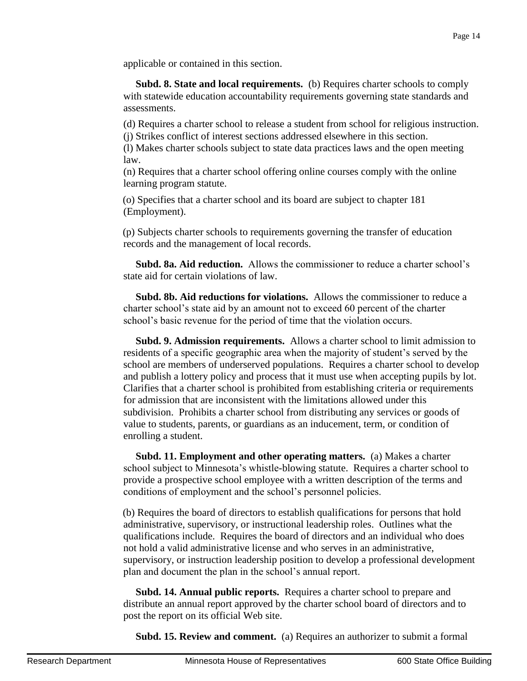applicable or contained in this section.

 **Subd. 8. State and local requirements.** (b) Requires charter schools to comply with statewide education accountability requirements governing state standards and assessments.

(d) Requires a charter school to release a student from school for religious instruction. (j) Strikes conflict of interest sections addressed elsewhere in this section.

(l) Makes charter schools subject to state data practices laws and the open meeting law.

(n) Requires that a charter school offering online courses comply with the online learning program statute.

(o) Specifies that a charter school and its board are subject to chapter 181 (Employment).

(p) Subjects charter schools to requirements governing the transfer of education records and the management of local records.

 **Subd. 8a. Aid reduction.** Allows the commissioner to reduce a charter school's state aid for certain violations of law.

 **Subd. 8b. Aid reductions for violations.** Allows the commissioner to reduce a charter school's state aid by an amount not to exceed 60 percent of the charter school's basic revenue for the period of time that the violation occurs.

 **Subd. 9. Admission requirements.** Allows a charter school to limit admission to residents of a specific geographic area when the majority of student's served by the school are members of underserved populations. Requires a charter school to develop and publish a lottery policy and process that it must use when accepting pupils by lot. Clarifies that a charter school is prohibited from establishing criteria or requirements for admission that are inconsistent with the limitations allowed under this subdivision. Prohibits a charter school from distributing any services or goods of value to students, parents, or guardians as an inducement, term, or condition of enrolling a student.

 **Subd. 11. Employment and other operating matters.** (a) Makes a charter school subject to Minnesota's whistle-blowing statute. Requires a charter school to provide a prospective school employee with a written description of the terms and conditions of employment and the school's personnel policies.

(b) Requires the board of directors to establish qualifications for persons that hold administrative, supervisory, or instructional leadership roles. Outlines what the qualifications include. Requires the board of directors and an individual who does not hold a valid administrative license and who serves in an administrative, supervisory, or instruction leadership position to develop a professional development plan and document the plan in the school's annual report.

 **Subd. 14. Annual public reports.** Requires a charter school to prepare and distribute an annual report approved by the charter school board of directors and to post the report on its official Web site.

**Subd. 15. Review and comment.** (a) Requires an authorizer to submit a formal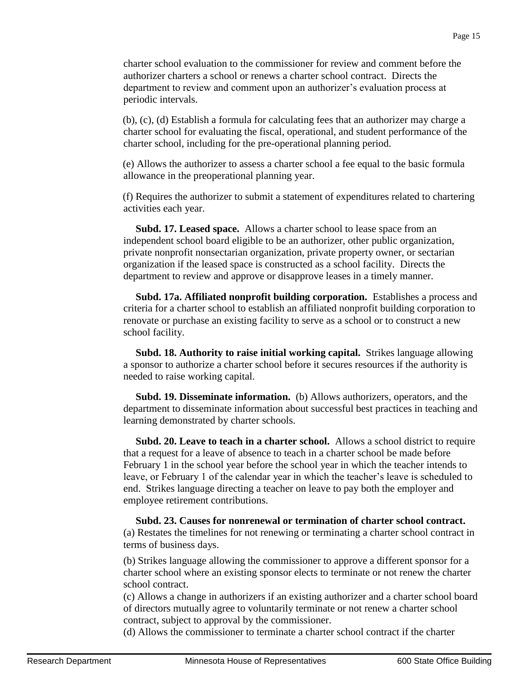charter school evaluation to the commissioner for review and comment before the authorizer charters a school or renews a charter school contract. Directs the department to review and comment upon an authorizer's evaluation process at periodic intervals.

(b), (c), (d) Establish a formula for calculating fees that an authorizer may charge a charter school for evaluating the fiscal, operational, and student performance of the charter school, including for the pre-operational planning period.

(e) Allows the authorizer to assess a charter school a fee equal to the basic formula allowance in the preoperational planning year.

(f) Requires the authorizer to submit a statement of expenditures related to chartering activities each year.

 **Subd. 17. Leased space.** Allows a charter school to lease space from an independent school board eligible to be an authorizer, other public organization, private nonprofit nonsectarian organization, private property owner, or sectarian organization if the leased space is constructed as a school facility. Directs the department to review and approve or disapprove leases in a timely manner.

 **Subd. 17a. Affiliated nonprofit building corporation.** Establishes a process and criteria for a charter school to establish an affiliated nonprofit building corporation to renovate or purchase an existing facility to serve as a school or to construct a new school facility.

 **Subd. 18. Authority to raise initial working capital.** Strikes language allowing a sponsor to authorize a charter school before it secures resources if the authority is needed to raise working capital.

 **Subd. 19. Disseminate information.** (b) Allows authorizers, operators, and the department to disseminate information about successful best practices in teaching and learning demonstrated by charter schools.

 **Subd. 20. Leave to teach in a charter school.** Allows a school district to require that a request for a leave of absence to teach in a charter school be made before February 1 in the school year before the school year in which the teacher intends to leave, or February 1 of the calendar year in which the teacher's leave is scheduled to end. Strikes language directing a teacher on leave to pay both the employer and employee retirement contributions.

 **Subd. 23. Causes for nonrenewal or termination of charter school contract.** (a) Restates the timelines for not renewing or terminating a charter school contract in terms of business days.

(b) Strikes language allowing the commissioner to approve a different sponsor for a charter school where an existing sponsor elects to terminate or not renew the charter school contract.

(c) Allows a change in authorizers if an existing authorizer and a charter school board of directors mutually agree to voluntarily terminate or not renew a charter school contract, subject to approval by the commissioner.

(d) Allows the commissioner to terminate a charter school contract if the charter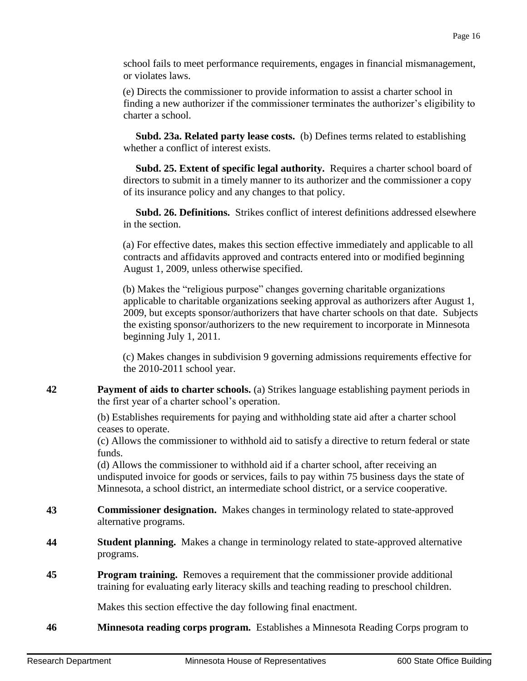school fails to meet performance requirements, engages in financial mismanagement, or violates laws.

(e) Directs the commissioner to provide information to assist a charter school in finding a new authorizer if the commissioner terminates the authorizer's eligibility to charter a school.

 **Subd. 23a. Related party lease costs.** (b) Defines terms related to establishing whether a conflict of interest exists.

 **Subd. 25. Extent of specific legal authority.** Requires a charter school board of directors to submit in a timely manner to its authorizer and the commissioner a copy of its insurance policy and any changes to that policy.

 **Subd. 26. Definitions.** Strikes conflict of interest definitions addressed elsewhere in the section.

(a) For effective dates, makes this section effective immediately and applicable to all contracts and affidavits approved and contracts entered into or modified beginning August 1, 2009, unless otherwise specified.

(b) Makes the "religious purpose" changes governing charitable organizations applicable to charitable organizations seeking approval as authorizers after August 1, 2009, but excepts sponsor/authorizers that have charter schools on that date. Subjects the existing sponsor/authorizers to the new requirement to incorporate in Minnesota beginning July 1, 2011.

(c) Makes changes in subdivision 9 governing admissions requirements effective for the 2010-2011 school year.

**42 Payment of aids to charter schools.** (a) Strikes language establishing payment periods in the first year of a charter school's operation.

> (b) Establishes requirements for paying and withholding state aid after a charter school ceases to operate.

(c) Allows the commissioner to withhold aid to satisfy a directive to return federal or state funds.

(d) Allows the commissioner to withhold aid if a charter school, after receiving an undisputed invoice for goods or services, fails to pay within 75 business days the state of Minnesota, a school district, an intermediate school district, or a service cooperative.

- **43 Commissioner designation.** Makes changes in terminology related to state-approved alternative programs.
- **44 Student planning.** Makes a change in terminology related to state-approved alternative programs.
- **45 Program training.** Removes a requirement that the commissioner provide additional training for evaluating early literacy skills and teaching reading to preschool children.

Makes this section effective the day following final enactment.

**46 Minnesota reading corps program.** Establishes a Minnesota Reading Corps program to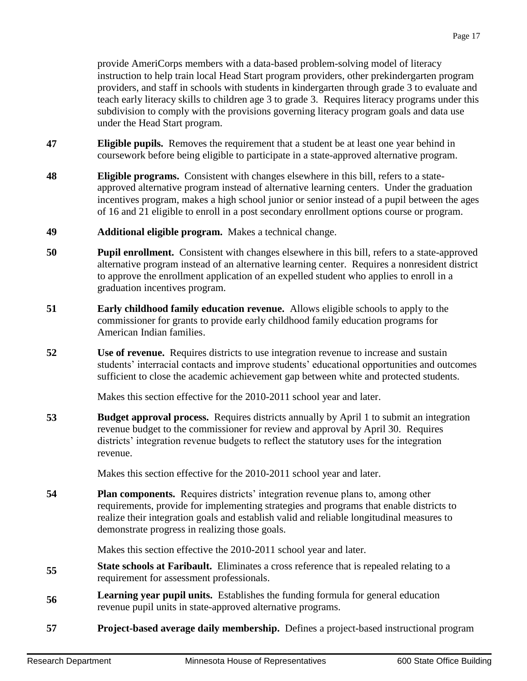provide AmeriCorps members with a data-based problem-solving model of literacy instruction to help train local Head Start program providers, other prekindergarten program providers, and staff in schools with students in kindergarten through grade 3 to evaluate and teach early literacy skills to children age 3 to grade 3. Requires literacy programs under this subdivision to comply with the provisions governing literacy program goals and data use under the Head Start program.

- **47 Eligible pupils.** Removes the requirement that a student be at least one year behind in coursework before being eligible to participate in a state-approved alternative program.
- **48 Eligible programs.** Consistent with changes elsewhere in this bill, refers to a stateapproved alternative program instead of alternative learning centers. Under the graduation incentives program, makes a high school junior or senior instead of a pupil between the ages of 16 and 21 eligible to enroll in a post secondary enrollment options course or program.
- **49 Additional eligible program.** Makes a technical change.
- **50 Pupil enrollment.** Consistent with changes elsewhere in this bill, refers to a state-approved alternative program instead of an alternative learning center. Requires a nonresident district to approve the enrollment application of an expelled student who applies to enroll in a graduation incentives program.
- **51 Early childhood family education revenue.** Allows eligible schools to apply to the commissioner for grants to provide early childhood family education programs for American Indian families.
- **52 Use of revenue.** Requires districts to use integration revenue to increase and sustain students' interracial contacts and improve students' educational opportunities and outcomes sufficient to close the academic achievement gap between white and protected students.

Makes this section effective for the 2010-2011 school year and later.

**53 Budget approval process.** Requires districts annually by April 1 to submit an integration revenue budget to the commissioner for review and approval by April 30. Requires districts' integration revenue budgets to reflect the statutory uses for the integration revenue.

Makes this section effective for the 2010-2011 school year and later.

**54 Plan components.** Requires districts' integration revenue plans to, among other requirements, provide for implementing strategies and programs that enable districts to realize their integration goals and establish valid and reliable longitudinal measures to demonstrate progress in realizing those goals.

Makes this section effective the 2010-2011 school year and later.

- **55 State schools at Faribault.** Eliminates a cross reference that is repealed relating to a requirement for assessment professionals.
- **56 Learning year pupil units.** Establishes the funding formula for general education revenue pupil units in state-approved alternative programs.
- **57 Project-based average daily membership.** Defines a project-based instructional program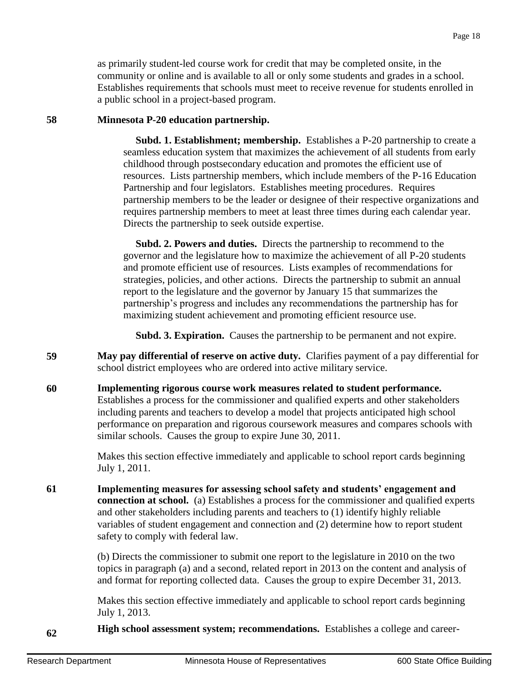as primarily student-led course work for credit that may be completed onsite, in the community or online and is available to all or only some students and grades in a school. Establishes requirements that schools must meet to receive revenue for students enrolled in a public school in a project-based program.

#### **58 Minnesota P-20 education partnership.**

 **Subd. 1. Establishment; membership.** Establishes a P-20 partnership to create a seamless education system that maximizes the achievement of all students from early childhood through postsecondary education and promotes the efficient use of resources. Lists partnership members, which include members of the P-16 Education Partnership and four legislators. Establishes meeting procedures. Requires partnership members to be the leader or designee of their respective organizations and requires partnership members to meet at least three times during each calendar year. Directs the partnership to seek outside expertise.

 **Subd. 2. Powers and duties.** Directs the partnership to recommend to the governor and the legislature how to maximize the achievement of all P-20 students and promote efficient use of resources. Lists examples of recommendations for strategies, policies, and other actions. Directs the partnership to submit an annual report to the legislature and the governor by January 15 that summarizes the partnership's progress and includes any recommendations the partnership has for maximizing student achievement and promoting efficient resource use.

**Subd. 3. Expiration.** Causes the partnership to be permanent and not expire.

- **59 May pay differential of reserve on active duty.** Clarifies payment of a pay differential for school district employees who are ordered into active military service.
- **60 Implementing rigorous course work measures related to student performance.** Establishes a process for the commissioner and qualified experts and other stakeholders including parents and teachers to develop a model that projects anticipated high school performance on preparation and rigorous coursework measures and compares schools with similar schools. Causes the group to expire June 30, 2011.

Makes this section effective immediately and applicable to school report cards beginning July 1, 2011.

**61 Implementing measures for assessing school safety and students' engagement and connection at school.** (a) Establishes a process for the commissioner and qualified experts and other stakeholders including parents and teachers to (1) identify highly reliable variables of student engagement and connection and (2) determine how to report student safety to comply with federal law.

> (b) Directs the commissioner to submit one report to the legislature in 2010 on the two topics in paragraph (a) and a second, related report in 2013 on the content and analysis of and format for reporting collected data. Causes the group to expire December 31, 2013.

> Makes this section effective immediately and applicable to school report cards beginning July 1, 2013.

**62 High school assessment system; recommendations.** Establishes a college and career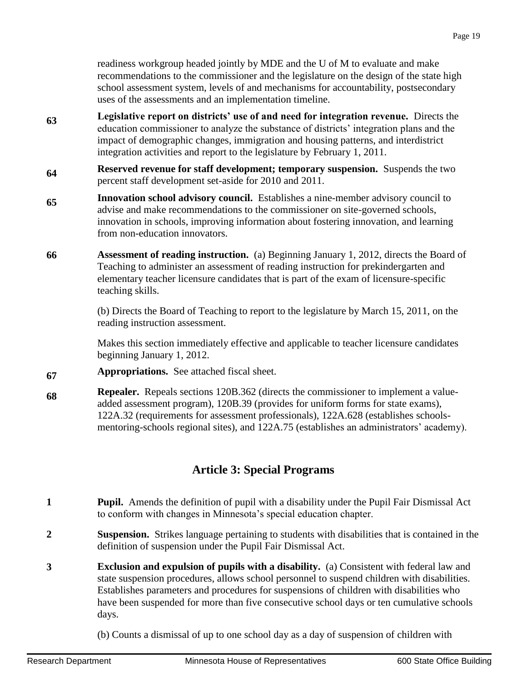readiness workgroup headed jointly by MDE and the U of M to evaluate and make recommendations to the commissioner and the legislature on the design of the state high school assessment system, levels of and mechanisms for accountability, postsecondary uses of the assessments and an implementation timeline.

- **63 Legislative report on districts' use of and need for integration revenue.** Directs the education commissioner to analyze the substance of districts' integration plans and the impact of demographic changes, immigration and housing patterns, and interdistrict integration activities and report to the legislature by February 1, 2011.
- **64 Reserved revenue for staff development; temporary suspension.** Suspends the two percent staff development set-aside for 2010 and 2011.
- **65 Innovation school advisory council.** Establishes a nine-member advisory council to advise and make recommendations to the commissioner on site-governed schools, innovation in schools, improving information about fostering innovation, and learning from non-education innovators.
- **66 Assessment of reading instruction.** (a) Beginning January 1, 2012, directs the Board of Teaching to administer an assessment of reading instruction for prekindergarten and elementary teacher licensure candidates that is part of the exam of licensure-specific teaching skills.

(b) Directs the Board of Teaching to report to the legislature by March 15, 2011, on the reading instruction assessment.

Makes this section immediately effective and applicable to teacher licensure candidates beginning January 1, 2012.

- **67 Appropriations.** See attached fiscal sheet.
- **68 Repealer.** Repeals sections 120B.362 (directs the commissioner to implement a valueadded assessment program), 120B.39 (provides for uniform forms for state exams), 122A.32 (requirements for assessment professionals), 122A.628 (establishes schoolsmentoring-schools regional sites), and 122A.75 (establishes an administrators' academy).

# **Article 3: Special Programs**

- **1 Pupil.** Amends the definition of pupil with a disability under the Pupil Fair Dismissal Act to conform with changes in Minnesota's special education chapter.
- **2 Suspension.** Strikes language pertaining to students with disabilities that is contained in the definition of suspension under the Pupil Fair Dismissal Act.
- **3 Exclusion and expulsion of pupils with a disability.** (a) Consistent with federal law and state suspension procedures, allows school personnel to suspend children with disabilities. Establishes parameters and procedures for suspensions of children with disabilities who have been suspended for more than five consecutive school days or ten cumulative schools days.
	- (b) Counts a dismissal of up to one school day as a day of suspension of children with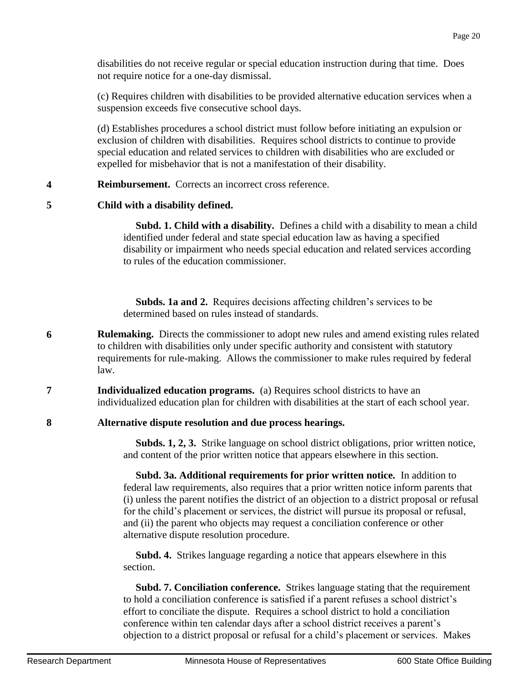disabilities do not receive regular or special education instruction during that time. Does not require notice for a one-day dismissal.

(c) Requires children with disabilities to be provided alternative education services when a suspension exceeds five consecutive school days.

(d) Establishes procedures a school district must follow before initiating an expulsion or exclusion of children with disabilities. Requires school districts to continue to provide special education and related services to children with disabilities who are excluded or expelled for misbehavior that is not a manifestation of their disability.

#### **4 Reimbursement.** Corrects an incorrect cross reference.

## **5 Child with a disability defined.**

 **Subd. 1. Child with a disability.** Defines a child with a disability to mean a child identified under federal and state special education law as having a specified disability or impairment who needs special education and related services according to rules of the education commissioner.

 **Subds. 1a and 2.** Requires decisions affecting children's services to be determined based on rules instead of standards.

- **6 Rulemaking.** Directs the commissioner to adopt new rules and amend existing rules related to children with disabilities only under specific authority and consistent with statutory requirements for rule-making. Allows the commissioner to make rules required by federal law.
- **7 Individualized education programs.** (a) Requires school districts to have an individualized education plan for children with disabilities at the start of each school year.

## **8 Alternative dispute resolution and due process hearings.**

 **Subds. 1, 2, 3.** Strike language on school district obligations, prior written notice, and content of the prior written notice that appears elsewhere in this section.

 **Subd. 3a. Additional requirements for prior written notice.** In addition to federal law requirements, also requires that a prior written notice inform parents that (i) unless the parent notifies the district of an objection to a district proposal or refusal for the child's placement or services, the district will pursue its proposal or refusal, and (ii) the parent who objects may request a conciliation conference or other alternative dispute resolution procedure.

 **Subd. 4.** Strikes language regarding a notice that appears elsewhere in this section.

 **Subd. 7. Conciliation conference.** Strikes language stating that the requirement to hold a conciliation conference is satisfied if a parent refuses a school district's effort to conciliate the dispute. Requires a school district to hold a conciliation conference within ten calendar days after a school district receives a parent's objection to a district proposal or refusal for a child's placement or services. Makes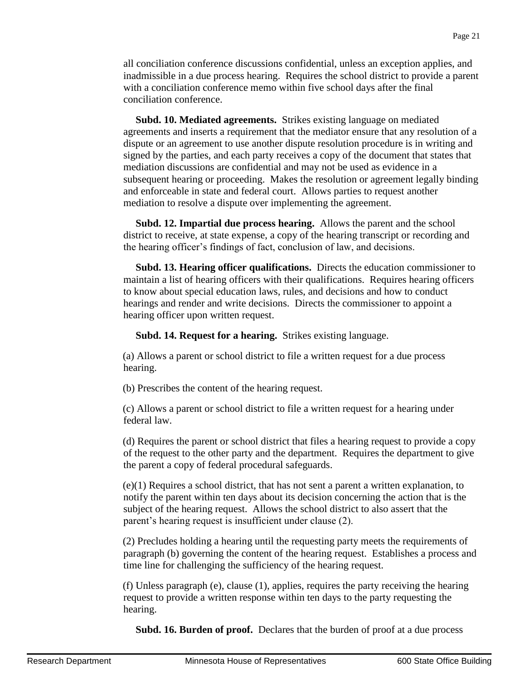all conciliation conference discussions confidential, unless an exception applies, and inadmissible in a due process hearing. Requires the school district to provide a parent with a conciliation conference memo within five school days after the final conciliation conference.

 **Subd. 10. Mediated agreements.** Strikes existing language on mediated agreements and inserts a requirement that the mediator ensure that any resolution of a dispute or an agreement to use another dispute resolution procedure is in writing and signed by the parties, and each party receives a copy of the document that states that mediation discussions are confidential and may not be used as evidence in a subsequent hearing or proceeding. Makes the resolution or agreement legally binding and enforceable in state and federal court. Allows parties to request another mediation to resolve a dispute over implementing the agreement.

 **Subd. 12. Impartial due process hearing.** Allows the parent and the school district to receive, at state expense, a copy of the hearing transcript or recording and the hearing officer's findings of fact, conclusion of law, and decisions.

 **Subd. 13. Hearing officer qualifications.** Directs the education commissioner to maintain a list of hearing officers with their qualifications. Requires hearing officers to know about special education laws, rules, and decisions and how to conduct hearings and render and write decisions. Directs the commissioner to appoint a hearing officer upon written request.

**Subd. 14. Request for a hearing.** Strikes existing language.

(a) Allows a parent or school district to file a written request for a due process hearing.

(b) Prescribes the content of the hearing request.

(c) Allows a parent or school district to file a written request for a hearing under federal law.

(d) Requires the parent or school district that files a hearing request to provide a copy of the request to the other party and the department. Requires the department to give the parent a copy of federal procedural safeguards.

(e)(1) Requires a school district, that has not sent a parent a written explanation, to notify the parent within ten days about its decision concerning the action that is the subject of the hearing request. Allows the school district to also assert that the parent's hearing request is insufficient under clause (2).

(2) Precludes holding a hearing until the requesting party meets the requirements of paragraph (b) governing the content of the hearing request. Establishes a process and time line for challenging the sufficiency of the hearing request.

(f) Unless paragraph (e), clause (1), applies, requires the party receiving the hearing request to provide a written response within ten days to the party requesting the hearing.

**Subd. 16. Burden of proof.** Declares that the burden of proof at a due process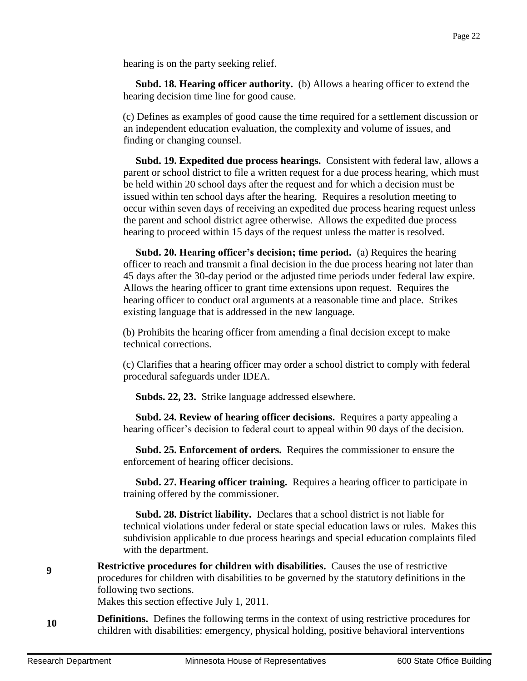hearing is on the party seeking relief.

 **Subd. 18. Hearing officer authority.** (b) Allows a hearing officer to extend the hearing decision time line for good cause.

(c) Defines as examples of good cause the time required for a settlement discussion or an independent education evaluation, the complexity and volume of issues, and finding or changing counsel.

 **Subd. 19. Expedited due process hearings.** Consistent with federal law, allows a parent or school district to file a written request for a due process hearing, which must be held within 20 school days after the request and for which a decision must be issued within ten school days after the hearing. Requires a resolution meeting to occur within seven days of receiving an expedited due process hearing request unless the parent and school district agree otherwise. Allows the expedited due process hearing to proceed within 15 days of the request unless the matter is resolved.

 **Subd. 20. Hearing officer's decision; time period.** (a) Requires the hearing officer to reach and transmit a final decision in the due process hearing not later than 45 days after the 30-day period or the adjusted time periods under federal law expire. Allows the hearing officer to grant time extensions upon request. Requires the hearing officer to conduct oral arguments at a reasonable time and place. Strikes existing language that is addressed in the new language.

(b) Prohibits the hearing officer from amending a final decision except to make technical corrections.

(c) Clarifies that a hearing officer may order a school district to comply with federal procedural safeguards under IDEA.

**Subds. 22, 23.** Strike language addressed elsewhere.

 **Subd. 24. Review of hearing officer decisions.** Requires a party appealing a hearing officer's decision to federal court to appeal within 90 days of the decision.

 **Subd. 25. Enforcement of orders.** Requires the commissioner to ensure the enforcement of hearing officer decisions.

 **Subd. 27. Hearing officer training.** Requires a hearing officer to participate in training offered by the commissioner.

 **Subd. 28. District liability.** Declares that a school district is not liable for technical violations under federal or state special education laws or rules. Makes this subdivision applicable to due process hearings and special education complaints filed with the department.

**9 Restrictive procedures for children with disabilities.** Causes the use of restrictive procedures for children with disabilities to be governed by the statutory definitions in the following two sections.

Makes this section effective July 1, 2011.

**10 Definitions.** Defines the following terms in the context of using restrictive procedures for children with disabilities: emergency, physical holding, positive behavioral interventions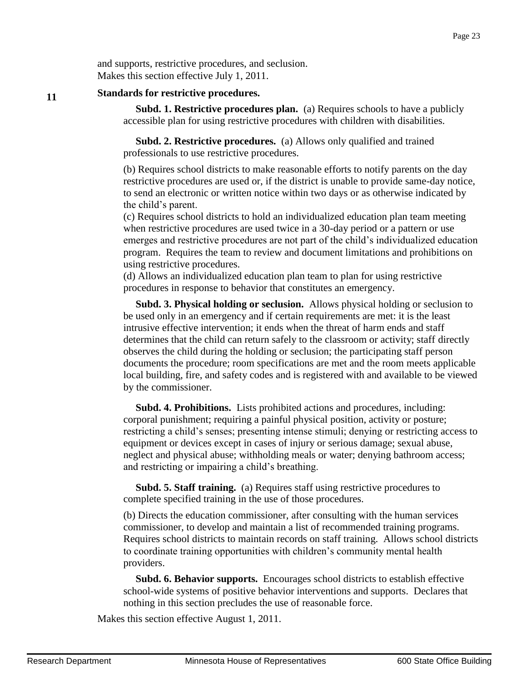#### **Standards for restrictive procedures.**

 **Subd. 1. Restrictive procedures plan.** (a) Requires schools to have a publicly accessible plan for using restrictive procedures with children with disabilities.

 **Subd. 2. Restrictive procedures.** (a) Allows only qualified and trained professionals to use restrictive procedures.

(b) Requires school districts to make reasonable efforts to notify parents on the day restrictive procedures are used or, if the district is unable to provide same-day notice, to send an electronic or written notice within two days or as otherwise indicated by the child's parent.

(c) Requires school districts to hold an individualized education plan team meeting when restrictive procedures are used twice in a 30-day period or a pattern or use emerges and restrictive procedures are not part of the child's individualized education program. Requires the team to review and document limitations and prohibitions on using restrictive procedures.

(d) Allows an individualized education plan team to plan for using restrictive procedures in response to behavior that constitutes an emergency.

 **Subd. 3. Physical holding or seclusion.** Allows physical holding or seclusion to be used only in an emergency and if certain requirements are met: it is the least intrusive effective intervention; it ends when the threat of harm ends and staff determines that the child can return safely to the classroom or activity; staff directly observes the child during the holding or seclusion; the participating staff person documents the procedure; room specifications are met and the room meets applicable local building, fire, and safety codes and is registered with and available to be viewed by the commissioner.

 **Subd. 4. Prohibitions.** Lists prohibited actions and procedures, including: corporal punishment; requiring a painful physical position, activity or posture; restricting a child's senses; presenting intense stimuli; denying or restricting access to equipment or devices except in cases of injury or serious damage; sexual abuse, neglect and physical abuse; withholding meals or water; denying bathroom access; and restricting or impairing a child's breathing.

 **Subd. 5. Staff training.** (a) Requires staff using restrictive procedures to complete specified training in the use of those procedures.

(b) Directs the education commissioner, after consulting with the human services commissioner, to develop and maintain a list of recommended training programs. Requires school districts to maintain records on staff training. Allows school districts to coordinate training opportunities with children's community mental health providers.

 **Subd. 6. Behavior supports.** Encourages school districts to establish effective school-wide systems of positive behavior interventions and supports. Declares that nothing in this section precludes the use of reasonable force.

Makes this section effective August 1, 2011.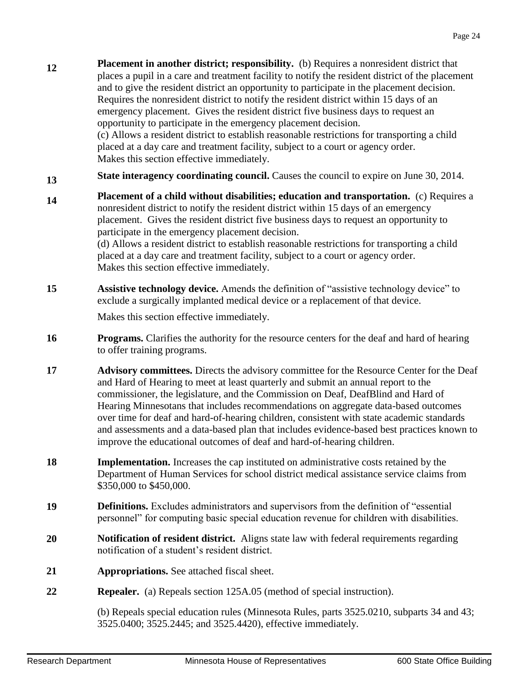**12 Placement in another district; responsibility.** (b) Requires a nonresident district that places a pupil in a care and treatment facility to notify the resident district of the placement and to give the resident district an opportunity to participate in the placement decision. Requires the nonresident district to notify the resident district within 15 days of an emergency placement. Gives the resident district five business days to request an opportunity to participate in the emergency placement decision. (c) Allows a resident district to establish reasonable restrictions for transporting a child

placed at a day care and treatment facility, subject to a court or agency order. Makes this section effective immediately.

- **13 State interagency coordinating council.** Causes the council to expire on June 30, 2014.
- **14 Placement of a child without disabilities; education and transportation.** (c) Requires a nonresident district to notify the resident district within 15 days of an emergency placement. Gives the resident district five business days to request an opportunity to participate in the emergency placement decision. (d) Allows a resident district to establish reasonable restrictions for transporting a child placed at a day care and treatment facility, subject to a court or agency order. Makes this section effective immediately.
- **15 Assistive technology device.** Amends the definition of "assistive technology device" to exclude a surgically implanted medical device or a replacement of that device.

Makes this section effective immediately.

- **16 Programs.** Clarifies the authority for the resource centers for the deaf and hard of hearing to offer training programs.
- **17 Advisory committees.** Directs the advisory committee for the Resource Center for the Deaf and Hard of Hearing to meet at least quarterly and submit an annual report to the commissioner, the legislature, and the Commission on Deaf, DeafBlind and Hard of Hearing Minnesotans that includes recommendations on aggregate data-based outcomes over time for deaf and hard-of-hearing children, consistent with state academic standards and assessments and a data-based plan that includes evidence-based best practices known to improve the educational outcomes of deaf and hard-of-hearing children.
- **18 Implementation.** Increases the cap instituted on administrative costs retained by the Department of Human Services for school district medical assistance service claims from \$350,000 to \$450,000.
- **19 Definitions.** Excludes administrators and supervisors from the definition of "essential personnel" for computing basic special education revenue for children with disabilities.
- **20 Notification of resident district.** Aligns state law with federal requirements regarding notification of a student's resident district.
- **21 Appropriations.** See attached fiscal sheet.
- **22 Repealer.** (a) Repeals section 125A.05 (method of special instruction).

(b) Repeals special education rules (Minnesota Rules, parts 3525.0210, subparts 34 and 43; 3525.0400; 3525.2445; and 3525.4420), effective immediately.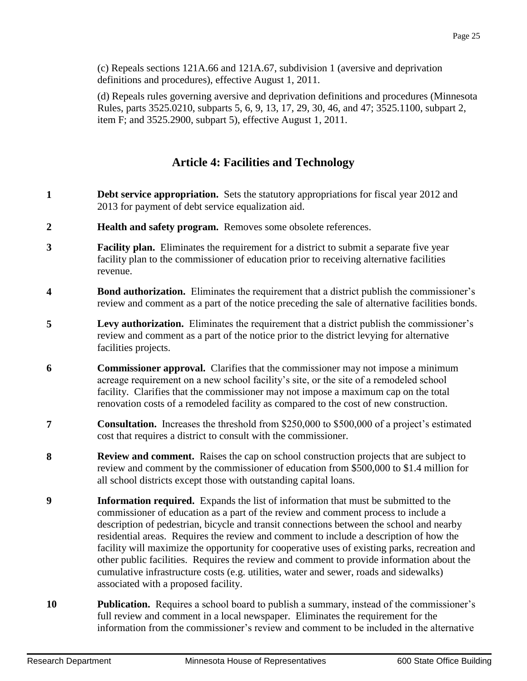(c) Repeals sections 121A.66 and 121A.67, subdivision 1 (aversive and deprivation definitions and procedures), effective August 1, 2011.

(d) Repeals rules governing aversive and deprivation definitions and procedures (Minnesota Rules, parts 3525.0210, subparts 5, 6, 9, 13, 17, 29, 30, 46, and 47; 3525.1100, subpart 2, item F; and 3525.2900, subpart 5), effective August 1, 2011.

# **Article 4: Facilities and Technology**

- **1 1 Debt service appropriation.** Sets the statutory appropriations for fiscal year 2012 and 2013 for payment of debt service equalization aid.
- **2 Health and safety program.** Removes some obsolete references.
- **3 Facility plan.** Eliminates the requirement for a district to submit a separate five year facility plan to the commissioner of education prior to receiving alternative facilities revenue.
- **4 Bond authorization.** Eliminates the requirement that a district publish the commissioner's review and comment as a part of the notice preceding the sale of alternative facilities bonds.
- **5 Levy authorization.** Eliminates the requirement that a district publish the commissioner's review and comment as a part of the notice prior to the district levying for alternative facilities projects.
- **6 Commissioner approval.** Clarifies that the commissioner may not impose a minimum acreage requirement on a new school facility's site, or the site of a remodeled school facility. Clarifies that the commissioner may not impose a maximum cap on the total renovation costs of a remodeled facility as compared to the cost of new construction.
- **7 Consultation.** Increases the threshold from \$250,000 to \$500,000 of a project's estimated cost that requires a district to consult with the commissioner.
- **8 Review and comment.** Raises the cap on school construction projects that are subject to review and comment by the commissioner of education from \$500,000 to \$1.4 million for all school districts except those with outstanding capital loans.
- **9 Information required.** Expands the list of information that must be submitted to the commissioner of education as a part of the review and comment process to include a description of pedestrian, bicycle and transit connections between the school and nearby residential areas. Requires the review and comment to include a description of how the facility will maximize the opportunity for cooperative uses of existing parks, recreation and other public facilities. Requires the review and comment to provide information about the cumulative infrastructure costs (e.g. utilities, water and sewer, roads and sidewalks) associated with a proposed facility.
- **10 Publication.** Requires a school board to publish a summary, instead of the commissioner's full review and comment in a local newspaper. Eliminates the requirement for the information from the commissioner's review and comment to be included in the alternative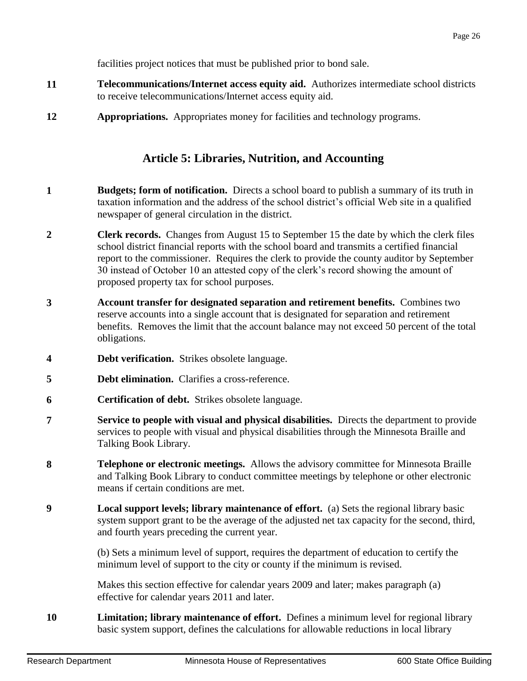facilities project notices that must be published prior to bond sale.

- **11 Telecommunications/Internet access equity aid.** Authorizes intermediate school districts to receive telecommunications/Internet access equity aid.
- **12 Appropriations.** Appropriates money for facilities and technology programs.

## **Article 5: Libraries, Nutrition, and Accounting**

- **1 Budgets; form of notification.** Directs a school board to publish a summary of its truth in taxation information and the address of the school district's official Web site in a qualified newspaper of general circulation in the district.
- **2 Clerk records.** Changes from August 15 to September 15 the date by which the clerk files school district financial reports with the school board and transmits a certified financial report to the commissioner. Requires the clerk to provide the county auditor by September 30 instead of October 10 an attested copy of the clerk's record showing the amount of proposed property tax for school purposes.
- **3 Account transfer for designated separation and retirement benefits.** Combines two reserve accounts into a single account that is designated for separation and retirement benefits. Removes the limit that the account balance may not exceed 50 percent of the total obligations.
- **4 Debt verification.** Strikes obsolete language.
- **5 Debt elimination.** Clarifies a cross-reference.
- **6 Certification of debt.** Strikes obsolete language.
- **7 Service to people with visual and physical disabilities.** Directs the department to provide services to people with visual and physical disabilities through the Minnesota Braille and Talking Book Library.
- **8 Telephone or electronic meetings.** Allows the advisory committee for Minnesota Braille and Talking Book Library to conduct committee meetings by telephone or other electronic means if certain conditions are met.
- **9 Local support levels; library maintenance of effort.** (a) Sets the regional library basic system support grant to be the average of the adjusted net tax capacity for the second, third, and fourth years preceding the current year.

(b) Sets a minimum level of support, requires the department of education to certify the minimum level of support to the city or county if the minimum is revised.

Makes this section effective for calendar years 2009 and later; makes paragraph (a) effective for calendar years 2011 and later.

**10 Limitation; library maintenance of effort.** Defines a minimum level for regional library basic system support, defines the calculations for allowable reductions in local library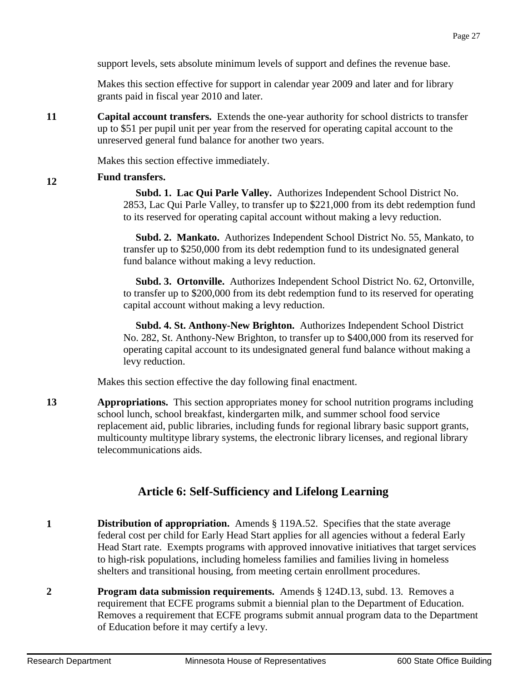support levels, sets absolute minimum levels of support and defines the revenue base.

Makes this section effective for support in calendar year 2009 and later and for library grants paid in fiscal year 2010 and later.

**11 Capital account transfers.** Extends the one-year authority for school districts to transfer up to \$51 per pupil unit per year from the reserved for operating capital account to the unreserved general fund balance for another two years.

Makes this section effective immediately.

#### **12 Fund transfers.**

 **Subd. 1. Lac Qui Parle Valley.** Authorizes Independent School District No. 2853, Lac Qui Parle Valley, to transfer up to \$221,000 from its debt redemption fund to its reserved for operating capital account without making a levy reduction.

 **Subd. 2. Mankato.** Authorizes Independent School District No. 55, Mankato, to transfer up to \$250,000 from its debt redemption fund to its undesignated general fund balance without making a levy reduction.

 **Subd. 3. Ortonville.** Authorizes Independent School District No. 62, Ortonville, to transfer up to \$200,000 from its debt redemption fund to its reserved for operating capital account without making a levy reduction.

 **Subd. 4. St. Anthony-New Brighton.** Authorizes Independent School District No. 282, St. Anthony-New Brighton, to transfer up to \$400,000 from its reserved for operating capital account to its undesignated general fund balance without making a levy reduction.

Makes this section effective the day following final enactment.

**13 Appropriations.** This section appropriates money for school nutrition programs including school lunch, school breakfast, kindergarten milk, and summer school food service replacement aid, public libraries, including funds for regional library basic support grants, multicounty multitype library systems, the electronic library licenses, and regional library telecommunications aids.

# **Article 6: Self-Sufficiency and Lifelong Learning**

- **1 Distribution of appropriation.** Amends § 119A.52. Specifies that the state average federal cost per child for Early Head Start applies for all agencies without a federal Early Head Start rate. Exempts programs with approved innovative initiatives that target services to high-risk populations, including homeless families and families living in homeless shelters and transitional housing, from meeting certain enrollment procedures.
- **2 Program data submission requirements.** Amends § 124D.13, subd. 13. Removes a requirement that ECFE programs submit a biennial plan to the Department of Education. Removes a requirement that ECFE programs submit annual program data to the Department of Education before it may certify a levy.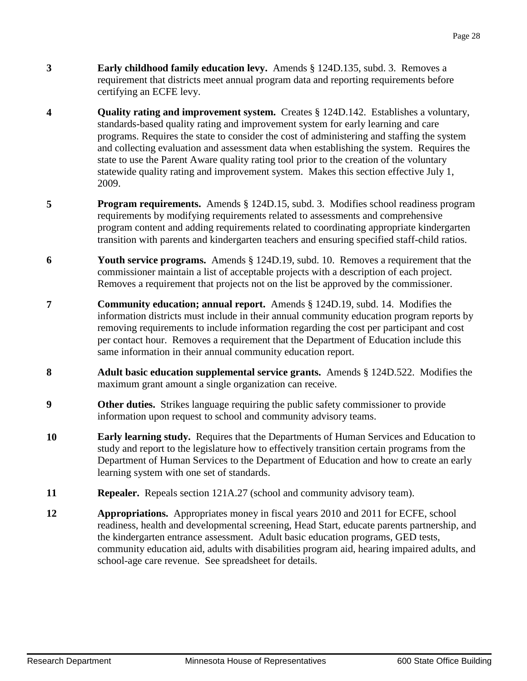- **3 Early childhood family education levy.** Amends § 124D.135, subd. 3. Removes a requirement that districts meet annual program data and reporting requirements before certifying an ECFE levy.
- **4 Quality rating and improvement system.** Creates § 124D.142. Establishes a voluntary, standards-based quality rating and improvement system for early learning and care programs. Requires the state to consider the cost of administering and staffing the system and collecting evaluation and assessment data when establishing the system. Requires the state to use the Parent Aware quality rating tool prior to the creation of the voluntary statewide quality rating and improvement system. Makes this section effective July 1, 2009.
- **5 Program requirements.** Amends § 124D.15, subd. 3. Modifies school readiness program requirements by modifying requirements related to assessments and comprehensive program content and adding requirements related to coordinating appropriate kindergarten transition with parents and kindergarten teachers and ensuring specified staff-child ratios.
- **6 Youth service programs.** Amends § 124D.19, subd. 10. Removes a requirement that the commissioner maintain a list of acceptable projects with a description of each project. Removes a requirement that projects not on the list be approved by the commissioner.
- **7 Community education; annual report.** Amends § 124D.19, subd. 14. Modifies the information districts must include in their annual community education program reports by removing requirements to include information regarding the cost per participant and cost per contact hour. Removes a requirement that the Department of Education include this same information in their annual community education report.
- **8 Adult basic education supplemental service grants.** Amends § 124D.522. Modifies the maximum grant amount a single organization can receive.
- **9 Other duties.** Strikes language requiring the public safety commissioner to provide information upon request to school and community advisory teams.
- **10 Early learning study.** Requires that the Departments of Human Services and Education to study and report to the legislature how to effectively transition certain programs from the Department of Human Services to the Department of Education and how to create an early learning system with one set of standards.
- **11 Repealer.** Repeals section 121A.27 (school and community advisory team).
- **12 Appropriations.** Appropriates money in fiscal years 2010 and 2011 for ECFE, school readiness, health and developmental screening, Head Start, educate parents partnership, and the kindergarten entrance assessment. Adult basic education programs, GED tests, community education aid, adults with disabilities program aid, hearing impaired adults, and school-age care revenue. See spreadsheet for details.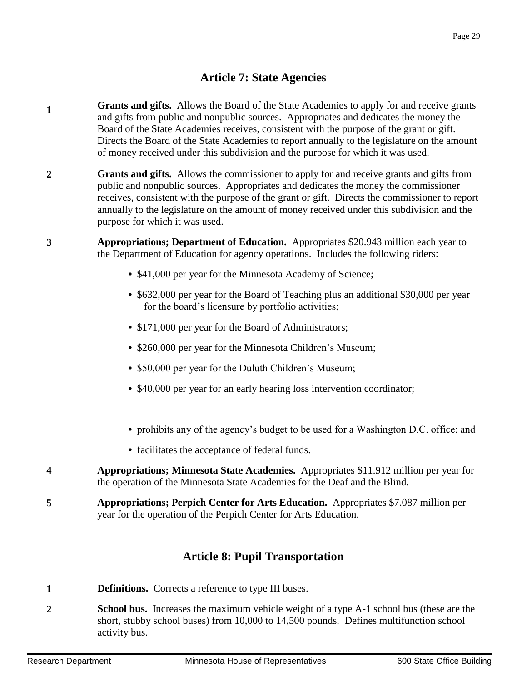# **Article 7: State Agencies**

- **1 Grants and gifts.** Allows the Board of the State Academies to apply for and receive grants and gifts from public and nonpublic sources. Appropriates and dedicates the money the Board of the State Academies receives, consistent with the purpose of the grant or gift. Directs the Board of the State Academies to report annually to the legislature on the amount of money received under this subdivision and the purpose for which it was used.
- **2 Grants and gifts.** Allows the commissioner to apply for and receive grants and gifts from public and nonpublic sources. Appropriates and dedicates the money the commissioner receives, consistent with the purpose of the grant or gift. Directs the commissioner to report annually to the legislature on the amount of money received under this subdivision and the purpose for which it was used.
- **3 Appropriations; Department of Education.** Appropriates \$20.943 million each year to the Department of Education for agency operations. Includes the following riders:
	- \$41,000 per year for the Minnesota Academy of Science;
	- **•** \$632,000 per year for the Board of Teaching plus an additional \$30,000 per year for the board's licensure by portfolio activities;
	- \$171,000 per year for the Board of Administrators;
	- **•** \$260,000 per year for the Minnesota Children's Museum;
	- **•** \$50,000 per year for the Duluth Children's Museum;
	- \$40,000 per year for an early hearing loss intervention coordinator;
	- **•** prohibits any of the agency's budget to be used for a Washington D.C. office; and
	- **•** facilitates the acceptance of federal funds.
- **4 Appropriations; Minnesota State Academies.** Appropriates \$11.912 million per year for the operation of the Minnesota State Academies for the Deaf and the Blind.
- **5 Appropriations; Perpich Center for Arts Education.** Appropriates \$7.087 million per year for the operation of the Perpich Center for Arts Education.

# **Article 8: Pupil Transportation**

- **1 Definitions.** Corrects a reference to type III buses.
- **2 School bus.** Increases the maximum vehicle weight of a type A-1 school bus (these are the short, stubby school buses) from 10,000 to 14,500 pounds. Defines multifunction school activity bus.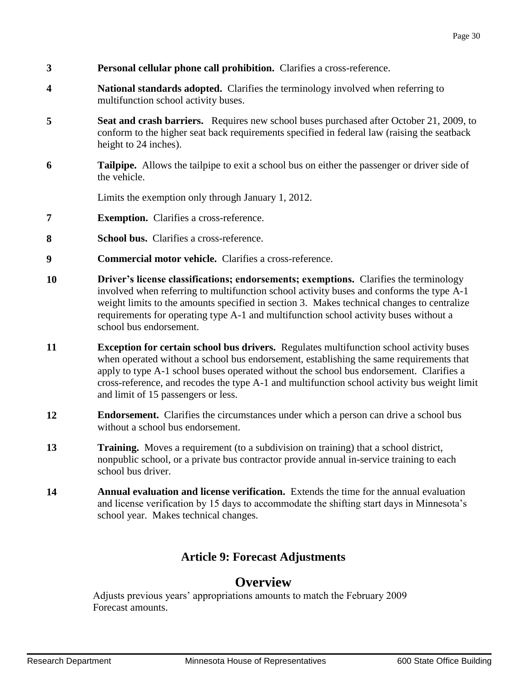- **3 Personal cellular phone call prohibition.** Clarifies a cross-reference.
- **4 National standards adopted.** Clarifies the terminology involved when referring to multifunction school activity buses.
- **5 Seat and crash barriers.** Requires new school buses purchased after October 21, 2009, to conform to the higher seat back requirements specified in federal law (raising the seatback height to 24 inches).
- **6 Tailpipe.** Allows the tailpipe to exit a school bus on either the passenger or driver side of the vehicle.

Limits the exemption only through January 1, 2012.

- **7 Exemption.** Clarifies a cross-reference.
- **8 School bus.** Clarifies a cross-reference.
- **9 Commercial motor vehicle.** Clarifies a cross-reference.
- **10 Driver's license classifications; endorsements; exemptions.** Clarifies the terminology involved when referring to multifunction school activity buses and conforms the type A-1 weight limits to the amounts specified in section 3. Makes technical changes to centralize requirements for operating type A-1 and multifunction school activity buses without a school bus endorsement.
- **11 Exception for certain school bus drivers.** Regulates multifunction school activity buses when operated without a school bus endorsement, establishing the same requirements that apply to type A-1 school buses operated without the school bus endorsement. Clarifies a cross-reference, and recodes the type A-1 and multifunction school activity bus weight limit and limit of 15 passengers or less.
- **12 Endorsement.** Clarifies the circumstances under which a person can drive a school bus without a school bus endorsement.
- **13 Training.** Moves a requirement (to a subdivision on training) that a school district, nonpublic school, or a private bus contractor provide annual in-service training to each school bus driver.
- **14 Annual evaluation and license verification.** Extends the time for the annual evaluation and license verification by 15 days to accommodate the shifting start days in Minnesota's school year. Makes technical changes.

# **Article 9: Forecast Adjustments**

# **Overview**

Adjusts previous years' appropriations amounts to match the February 2009 Forecast amounts.